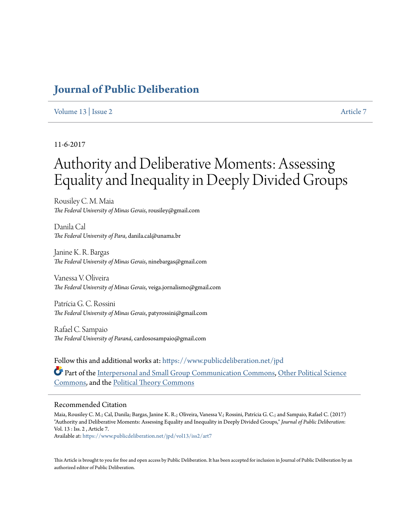# **[Journal of Public Deliberation](https://www.publicdeliberation.net/jpd?utm_source=www.publicdeliberation.net%2Fjpd%2Fvol13%2Fiss2%2Fart7&utm_medium=PDF&utm_campaign=PDFCoverPages)**

# [Volume 13](https://www.publicdeliberation.net/jpd/vol13?utm_source=www.publicdeliberation.net%2Fjpd%2Fvol13%2Fiss2%2Fart7&utm_medium=PDF&utm_campaign=PDFCoverPages) | [Issue 2](https://www.publicdeliberation.net/jpd/vol13/iss2?utm_source=www.publicdeliberation.net%2Fjpd%2Fvol13%2Fiss2%2Fart7&utm_medium=PDF&utm_campaign=PDFCoverPages) [Article 7](https://www.publicdeliberation.net/jpd/vol13/iss2/art7?utm_source=www.publicdeliberation.net%2Fjpd%2Fvol13%2Fiss2%2Fart7&utm_medium=PDF&utm_campaign=PDFCoverPages)

# 11-6-2017

# Authority and Deliberative Moments: Assessing Equality and Inequality in Deeply Divided Groups

Rousiley C. M. Maia *The Federal University of Minas Gerais*, rousiley@gmail.com

Danila Cal *The Federal University of Para*, danila.cal@unama.br

Janine K. R. Bargas *The Federal University of Minas Gerais*, ninebargas@gmail.com

Vanessa V. Oliveira *The Federal University of Minas Gerais*, veiga.jornalismo@gmail.com

Patrícia G. C. Rossini *The Federal University of Minas Gerais*, patyrossini@gmail.com

Rafael C. Sampaio *The Federal University of Paraná*, cardososampaio@gmail.com

Follow this and additional works at: [https://www.publicdeliberation.net/jpd](https://www.publicdeliberation.net/jpd?utm_source=www.publicdeliberation.net%2Fjpd%2Fvol13%2Fiss2%2Fart7&utm_medium=PDF&utm_campaign=PDFCoverPages) Part of the [Interpersonal and Small Group Communication Commons,](http://network.bepress.com/hgg/discipline/332?utm_source=www.publicdeliberation.net%2Fjpd%2Fvol13%2Fiss2%2Fart7&utm_medium=PDF&utm_campaign=PDFCoverPages) [Other Political Science](http://network.bepress.com/hgg/discipline/392?utm_source=www.publicdeliberation.net%2Fjpd%2Fvol13%2Fiss2%2Fart7&utm_medium=PDF&utm_campaign=PDFCoverPages) [Commons,](http://network.bepress.com/hgg/discipline/392?utm_source=www.publicdeliberation.net%2Fjpd%2Fvol13%2Fiss2%2Fart7&utm_medium=PDF&utm_campaign=PDFCoverPages) and the [Political Theory Commons](http://network.bepress.com/hgg/discipline/391?utm_source=www.publicdeliberation.net%2Fjpd%2Fvol13%2Fiss2%2Fart7&utm_medium=PDF&utm_campaign=PDFCoverPages)

#### Recommended Citation

Maia, Rousiley C. M.; Cal, Danila; Bargas, Janine K. R.; Oliveira, Vanessa V.; Rossini, Patrícia G. C.; and Sampaio, Rafael C. (2017) "Authority and Deliberative Moments: Assessing Equality and Inequality in Deeply Divided Groups," *Journal of Public Deliberation*: Vol. 13 : Iss. 2 , Article 7.

Available at: [https://www.publicdeliberation.net/jpd/vol13/iss2/art7](https://www.publicdeliberation.net/jpd/vol13/iss2/art7?utm_source=www.publicdeliberation.net%2Fjpd%2Fvol13%2Fiss2%2Fart7&utm_medium=PDF&utm_campaign=PDFCoverPages)

This Article is brought to you for free and open access by Public Deliberation. It has been accepted for inclusion in Journal of Public Deliberation by an authorized editor of Public Deliberation.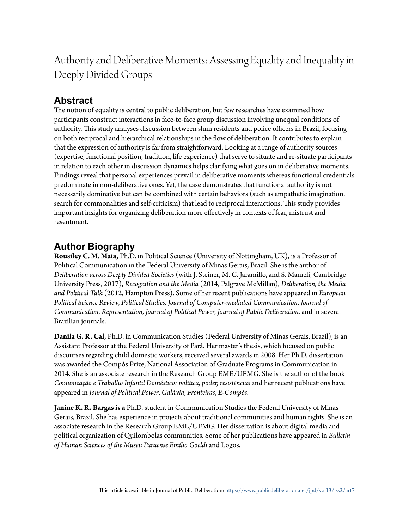Authority and Deliberative Moments: Assessing Equality and Inequality in Deeply Divided Groups

# **Abstract**

The notion of equality is central to public deliberation, but few researches have examined how participants construct interactions in face-to-face group discussion involving unequal conditions of authority. This study analyses discussion between slum residents and police officers in Brazil, focusing on both reciprocal and hierarchical relationships in the flow of deliberation. It contributes to explain that the expression of authority is far from straightforward. Looking at a range of authority sources (expertise, functional position, tradition, life experience) that serve to situate and re-situate participants in relation to each other in discussion dynamics helps clarifying what goes on in deliberative moments. Findings reveal that personal experiences prevail in deliberative moments whereas functional credentials predominate in non-deliberative ones. Yet, the case demonstrates that functional authority is not necessarily dominative but can be combined with certain behaviors (such as empathetic imagination, search for commonalities and self-criticism) that lead to reciprocal interactions. This study provides important insights for organizing deliberation more effectively in contexts of fear, mistrust and resentment.

# **Author Biography**

**Rousiley C. M. Maia,** Ph.D. in Political Science (University of Nottingham, UK), is a Professor of Political Communication in the Federal University of Minas Gerais, Brazil. She is the author of *Deliberation across Deeply Divided Societies* (with J. Steiner, M. C. Jaramillo, and S. Mameli, Cambridge University Press, 2017), *Recognition and the Media* (2014, Palgrave McMillan), *Deliberation, the Media and Political Talk* (2012, Hampton Press). Some of her recent publications have appeared in *European Political Science Review, Political Studies, Journal of Computer-mediated Communication*, *Journal of Communication, Representation, Journal of Political Power, Journal of Public Deliberation,* and in several Brazilian journals.

**Danila G. R. Cal,** Ph.D. in Communication Studies (Federal University of Minas Gerais, Brazil), is an Assistant Professor at the Federal University of Pará. Her master's thesis, which focused on public discourses regarding child domestic workers, received several awards in 2008. Her Ph.D. dissertation was awarded the Compós Prize, National Association of Graduate Programs in Communication in 2014. She is an associate research in the Research Group EME/UFMG. She is the author of the book *Comunicação e Trabalho Infantil Doméstico: política, poder, resistências* and her recent publications have appeared in *Journal of Political Power*, *Galáxia*, *Fronteiras*, *E-Compós*.

**Janine K. R. Bargas is a** Ph.D. student in Communication Studies the Federal University of Minas Gerais, Brazil. She has experience in projects about traditional communities and human rights. She is an associate research in the Research Group EME/UFMG. Her dissertation is about digital media and political organization of Quilombolas communities. Some of her publications have appeared in *Bulletin of Human Sciences of the Museu Paraense Emílio Goeldi* and Logos.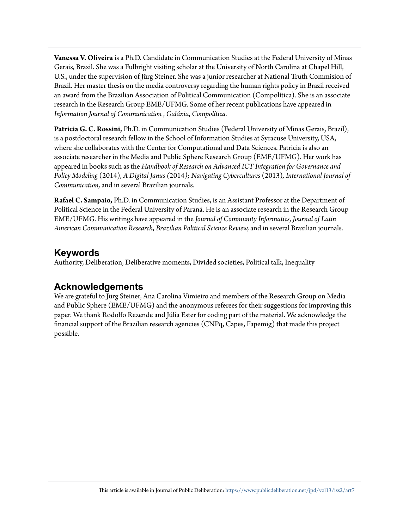**Vanessa V. Oliveira** is a Ph.D. Candidate in Communication Studies at the Federal University of Minas Gerais, Brazil. She was a Fulbright visiting scholar at the University of North Carolina at Chapel Hill, U.S., under the supervision of Jürg Steiner. She was a junior researcher at National Truth Commision of Brazil. Her master thesis on the media controversy regarding the human rights policy in Brazil received an award from the Brazilian Association of Political Communication (Compolítica). She is an associate research in the Research Group EME/UFMG. Some of her recent publications have appeared in *Information Journal of Communication* , *Galáxia*, *Compolítica.*

**Patricia G. C. Rossini,** Ph.D. in Communication Studies (Federal University of Minas Gerais, Brazil), is a postdoctoral research fellow in the School of Information Studies at Syracuse University, USA, where she collaborates with the Center for Computational and Data Sciences. Patricia is also an associate researcher in the Media and Public Sphere Research Group (EME/UFMG). Her work has appeared in books such as the *Handbook of Research on Advanced ICT Integration for Governance and Policy Modeling* (2014)*, A Digital Janus (*2014*); Navigating Cybercultures* (2013)*, International Journal of Communication,* and in several Brazilian journals.

**Rafael C. Sampaio,** Ph.D. in Communication Studies, is an Assistant Professor at the Department of Political Science in the Federal University of Paraná. He is an associate research in the Research Group EME/UFMG. His writings have appeared in the *Journal of Community Informatics*, *Journal of Latin American Communication Research*, *Brazilian Political Science Review,* and in several Brazilian journals.

# **Keywords**

Authority, Deliberation, Deliberative moments, Divided societies, Political talk, Inequality

# **Acknowledgements**

We are grateful to Jürg Steiner, Ana Carolina Vimieiro and members of the Research Group on Media and Public Sphere (EME/UFMG) and the anonymous referees for their suggestions for improving this paper. We thank Rodolfo Rezende and Júlia Ester for coding part of the material. We acknowledge the financial support of the Brazilian research agencies (CNPq, Capes, Fapemig) that made this project possible.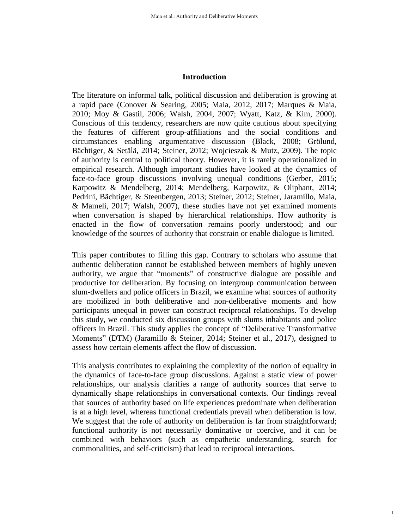#### **Introduction**

The literature on informal talk, political discussion and deliberation is growing at a rapid pace (Conover & Searing, 2005; Maia, 2012, 2017; Marques & Maia, 2010; Moy & Gastil, 2006; Walsh, 2004, 2007; Wyatt, Katz, & Kim, 2000). Conscious of this tendency, researchers are now quite cautious about specifying the features of different group-affiliations and the social conditions and circumstances enabling argumentative discussion (Black, 2008; Grölund, Bächtiger, & Setälä, 2014; Steiner, 2012; Wojcieszak & Mutz, 2009). The topic of authority is central to political theory. However, it is rarely operationalized in empirical research. Although important studies have looked at the dynamics of face-to-face group discussions involving unequal conditions (Gerber, 2015; Karpowitz & Mendelberg, 2014; Mendelberg, Karpowitz, & Oliphant, 2014; Pedrini, Bächtiger, & Steenbergen, 2013; Steiner, 2012; Steiner, Jaramillo, Maia, & Mameli, 2017; Walsh, 2007), these studies have not yet examined moments when conversation is shaped by hierarchical relationships. How authority is enacted in the flow of conversation remains poorly understood; and our knowledge of the sources of authority that constrain or enable dialogue is limited.

This paper contributes to filling this gap. Contrary to scholars who assume that authentic deliberation cannot be established between members of highly uneven authority, we argue that "moments" of constructive dialogue are possible and productive for deliberation. By focusing on intergroup communication between slum-dwellers and police officers in Brazil, we examine what sources of authority are mobilized in both deliberative and non-deliberative moments and how participants unequal in power can construct reciprocal relationships. To develop this study, we conducted six discussion groups with slums inhabitants and police officers in Brazil. This study applies the concept of "Deliberative Transformative Moments" (DTM) (Jaramillo & Steiner, 2014; Steiner et al., 2017), designed to assess how certain elements affect the flow of discussion.

This analysis contributes to explaining the complexity of the notion of equality in the dynamics of face-to-face group discussions. Against a static view of power relationships, our analysis clarifies a range of authority sources that serve to dynamically shape relationships in conversational contexts. Our findings reveal that sources of authority based on life experiences predominate when deliberation is at a high level, whereas functional credentials prevail when deliberation is low. We suggest that the role of authority on deliberation is far from straightforward; functional authority is not necessarily dominative or coercive, and it can be combined with behaviors (such as empathetic understanding, search for commonalities, and self-criticism) that lead to reciprocal interactions.

1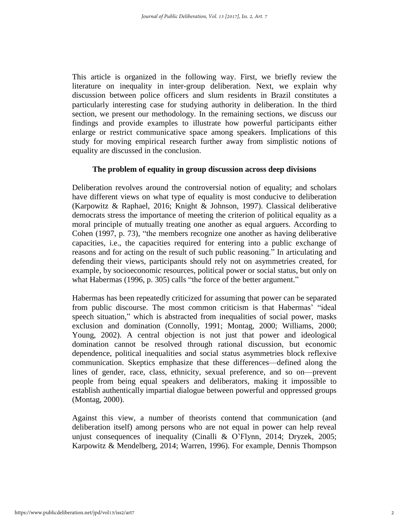This article is organized in the following way. First, we briefly review the literature on inequality in inter-group deliberation. Next, we explain why discussion between police officers and slum residents in Brazil constitutes a particularly interesting case for studying authority in deliberation. In the third section, we present our methodology. In the remaining sections, we discuss our findings and provide examples to illustrate how powerful participants either enlarge or restrict communicative space among speakers. Implications of this study for moving empirical research further away from simplistic notions of equality are discussed in the conclusion.

# **The problem of equality in group discussion across deep divisions**

Deliberation revolves around the controversial notion of equality; and scholars have different views on what type of equality is most conducive to deliberation (Karpowitz & Raphael, 2016; Knight & Johnson, 1997). Classical deliberative democrats stress the importance of meeting the criterion of political equality as a moral principle of mutually treating one another as equal arguers. According to Cohen (1997, p. 73), "the members recognize one another as having deliberative capacities, i.e., the capacities required for entering into a public exchange of reasons and for acting on the result of such public reasoning." In articulating and defending their views, participants should rely not on asymmetries created, for example, by socioeconomic resources, political power or social status, but only on what Habermas (1996, p. 305) calls "the force of the better argument."

Habermas has been repeatedly criticized for assuming that power can be separated from public discourse. The most common criticism is that Habermas' "ideal speech situation," which is abstracted from inequalities of social power, masks exclusion and domination (Connolly, 1991; Montag, 2000; Williams, 2000; Young, 2002). A central objection is not just that power and ideological domination cannot be resolved through rational discussion, but economic dependence, political inequalities and social status asymmetries block reflexive communication. Skeptics emphasize that these differences—defined along the lines of gender, race, class, ethnicity, sexual preference, and so on—prevent people from being equal speakers and deliberators, making it impossible to establish authentically impartial dialogue between powerful and oppressed groups (Montag, 2000).

Against this view, a number of theorists contend that communication (and deliberation itself) among persons who are not equal in power can help reveal unjust consequences of inequality (Cinalli & O'Flynn, 2014; Dryzek, 2005; Karpowitz & Mendelberg, 2014; Warren, 1996). For example, Dennis Thompson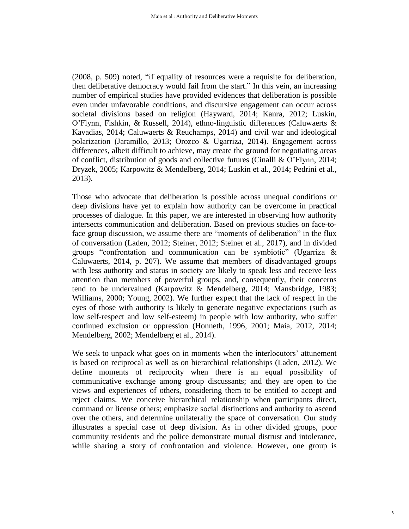(2008, p. 509) noted, "if equality of resources were a requisite for deliberation, then deliberative democracy would fail from the start." In this vein, an increasing number of empirical studies have provided evidences that deliberation is possible even under unfavorable conditions, and discursive engagement can occur across societal divisions based on religion (Hayward, 2014; Kanra, 2012; Luskin, O'Flynn, Fishkin, & Russell, 2014), ethno-linguistic differences (Caluwaerts & Kavadias, 2014; Caluwaerts & Reuchamps, 2014) and civil war and ideological polarization (Jaramillo, 2013; Orozco & Ugarriza, 2014). Engagement across differences, albeit difficult to achieve, may create the ground for negotiating areas of conflict, distribution of goods and collective futures (Cinalli & O'Flynn, 2014; Dryzek, 2005; Karpowitz & Mendelberg, 2014; Luskin et al., 2014; Pedrini et al., 2013).

Those who advocate that deliberation is possible across unequal conditions or deep divisions have yet to explain how authority can be overcome in practical processes of dialogue. In this paper, we are interested in observing how authority intersects communication and deliberation. Based on previous studies on face-toface group discussion, we assume there are "moments of deliberation" in the flux of conversation (Laden, 2012; Steiner, 2012; Steiner et al., 2017), and in divided groups "confrontation and communication can be symbiotic" (Ugarriza & Caluwaerts, 2014, p. 207). We assume that members of disadvantaged groups with less authority and status in society are likely to speak less and receive less attention than members of powerful groups, and, consequently, their concerns tend to be undervalued (Karpowitz & Mendelberg, 2014; Mansbridge, 1983; Williams, 2000; Young, 2002). We further expect that the lack of respect in the eyes of those with authority is likely to generate negative expectations (such as low self-respect and low self-esteem) in people with low authority, who suffer continued exclusion or oppression (Honneth, 1996, 2001; Maia, 2012, 2014; Mendelberg, 2002; Mendelberg et al., 2014).

We seek to unpack what goes on in moments when the interlocutors' attunement is based on reciprocal as well as on hierarchical relationships (Laden, 2012). We define moments of reciprocity when there is an equal possibility of communicative exchange among group discussants; and they are open to the views and experiences of others, considering them to be entitled to accept and reject claims. We conceive hierarchical relationship when participants direct, command or license others; emphasize social distinctions and authority to ascend over the others, and determine unilaterally the space of conversation. Our study illustrates a special case of deep division. As in other divided groups, poor community residents and the police demonstrate mutual distrust and intolerance, while sharing a story of confrontation and violence. However, one group is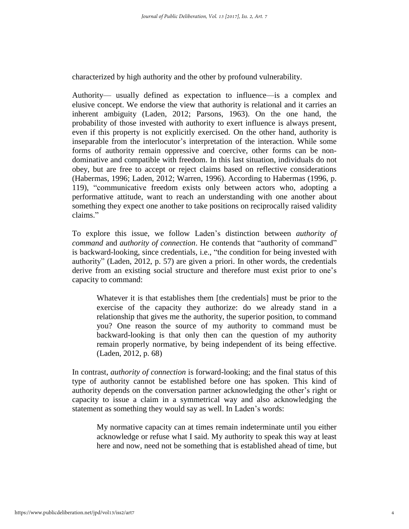characterized by high authority and the other by profound vulnerability.

Authority— usually defined as expectation to influence—is a complex and elusive concept. We endorse the view that authority is relational and it carries an inherent ambiguity (Laden, 2012; Parsons, 1963). On the one hand, the probability of those invested with authority to exert influence is always present, even if this property is not explicitly exercised. On the other hand, authority is inseparable from the interlocutor's interpretation of the interaction. While some forms of authority remain oppressive and coercive, other forms can be nondominative and compatible with freedom. In this last situation, individuals do not obey, but are free to accept or reject claims based on reflective considerations (Habermas, 1996; Laden, 2012; Warren, 1996). According to Habermas (1996, p. 119), "communicative freedom exists only between actors who, adopting a performative attitude, want to reach an understanding with one another about something they expect one another to take positions on reciprocally raised validity claims."

To explore this issue, we follow Laden's distinction between *authority of command* and *authority of connection*. He contends that "authority of command" is backward-looking, since credentials, i.e., "the condition for being invested with authority" (Laden, 2012, p. 57) are given a priori. In other words, the credentials derive from an existing social structure and therefore must exist prior to one's capacity to command:

Whatever it is that establishes them [the credentials] must be prior to the exercise of the capacity they authorize: do we already stand in a relationship that gives me the authority, the superior position, to command you? One reason the source of my authority to command must be backward-looking is that only then can the question of my authority remain properly normative, by being independent of its being effective. (Laden, 2012, p. 68)

In contrast, *authority of connection* is forward-looking; and the final status of this type of authority cannot be established before one has spoken. This kind of authority depends on the conversation partner acknowledging the other's right or capacity to issue a claim in a symmetrical way and also acknowledging the statement as something they would say as well. In Laden's words:

My normative capacity can at times remain indeterminate until you either acknowledge or refuse what I said. My authority to speak this way at least here and now, need not be something that is established ahead of time, but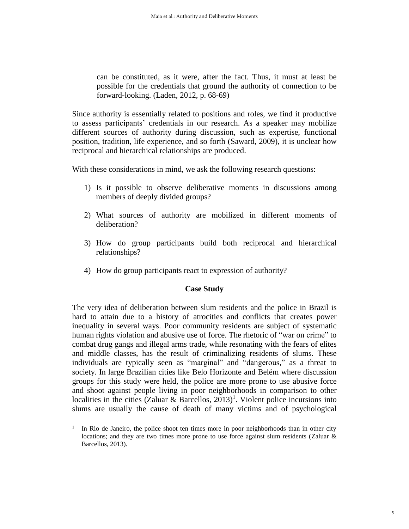can be constituted, as it were, after the fact. Thus, it must at least be possible for the credentials that ground the authority of connection to be forward-looking. (Laden, 2012, p. 68-69)

Since authority is essentially related to positions and roles, we find it productive to assess participants' credentials in our research. As a speaker may mobilize different sources of authority during discussion, such as expertise, functional position, tradition, life experience, and so forth (Saward, 2009), it is unclear how reciprocal and hierarchical relationships are produced.

With these considerations in mind, we ask the following research questions:

- 1) Is it possible to observe deliberative moments in discussions among members of deeply divided groups?
- 2) What sources of authority are mobilized in different moments of deliberation?
- 3) How do group participants build both reciprocal and hierarchical relationships?
- 4) How do group participants react to expression of authority?

# **Case Study**

The very idea of deliberation between slum residents and the police in Brazil is hard to attain due to a history of atrocities and conflicts that creates power inequality in several ways. Poor community residents are subject of systematic human rights violation and abusive use of force. The rhetoric of "war on crime" to combat drug gangs and illegal arms trade, while resonating with the fears of elites and middle classes, has the result of criminalizing residents of slums. These individuals are typically seen as "marginal" and "dangerous," as a threat to society. In large Brazilian cities like Belo Horizonte and Belém where discussion groups for this study were held, the police are more prone to use abusive force and shoot against people living in poor neighborhoods in comparison to other localities in the cities (Zaluar & Barcellos,  $2013$ )<sup>1</sup>. Violent police incursions into slums are usually the cause of death of many victims and of psychological

1

<sup>1</sup> In Rio de Janeiro, the police shoot ten times more in poor neighborhoods than in other city locations; and they are two times more prone to use force against slum residents (Zaluar & Barcellos, 2013).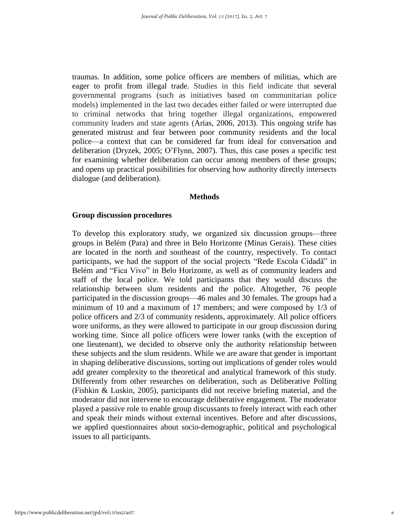traumas. In addition, some police officers are members of militias, which are eager to profit from illegal trade. Studies in this field indicate that several governmental programs (such as initiatives based on communitarian police models) implemented in the last two decades either failed or were interrupted due to criminal networks that bring together illegal organizations, empowered community leaders and state agents (Arias, 2006, 2013). This ongoing strife has generated mistrust and fear between poor community residents and the local police—a context that can be considered far from ideal for conversation and deliberation (Dryzek, 2005; O'Flynn, 2007). Thus, this case poses a specific test for examining whether deliberation can occur among members of these groups; and opens up practical possibilities for observing how authority directly intersects dialogue (and deliberation).

#### **Methods**

#### **Group discussion procedures**

To develop this exploratory study, we organized six discussion groups—three groups in Belém (Para) and three in Belo Horizonte (Minas Gerais). These cities are located in the north and southeast of the country, respectively. To contact participants, we had the support of the social projects "Rede Escola Cidadã" in Belém and "Fica Vivo" in Belo Horizonte, as well as of community leaders and staff of the local police. We told participants that they would discuss the relationship between slum residents and the police. Altogether, 76 people participated in the discussion groups—46 males and 30 females. The groups had a minimum of 10 and a maximum of 17 members; and were composed by 1/3 of police officers and 2/3 of community residents, approximately. All police officers wore uniforms, as they were allowed to participate in our group discussion during working time. Since all police officers were lower ranks (with the exception of one lieutenant), we decided to observe only the authority relationship between these subjects and the slum residents. While we are aware that gender is important in shaping deliberative discussions, sorting out implications of gender roles would add greater complexity to the theoretical and analytical framework of this study. Differently from other researches on deliberation, such as Deliberative Polling (Fishkin & Luskin, 2005), participants did not receive briefing material, and the moderator did not intervene to encourage deliberative engagement. The moderator played a passive role to enable group discussants to freely interact with each other and speak their minds without external incentives. Before and after discussions, we applied questionnaires about socio-demographic, political and psychological issues to all participants.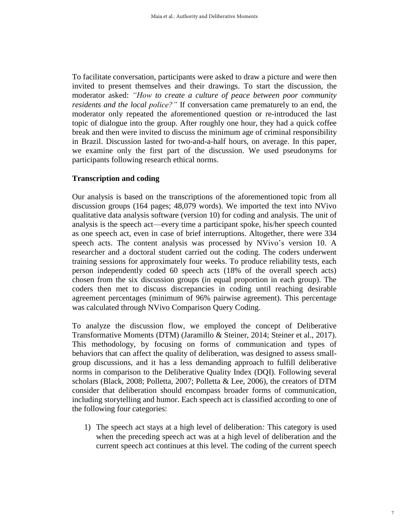To facilitate conversation, participants were asked to draw a picture and were then invited to present themselves and their drawings. To start the discussion, the moderator asked: *"How to create a culture of peace between poor community residents and the local police?"* If conversation came prematurely to an end, the moderator only repeated the aforementioned question or re-introduced the last topic of dialogue into the group. After roughly one hour, they had a quick coffee break and then were invited to discuss the minimum age of criminal responsibility in Brazil. Discussion lasted for two-and-a-half hours, on average. In this paper, we examine only the first part of the discussion. We used pseudonyms for participants following research ethical norms.

# **Transcription and coding**

Our analysis is based on the transcriptions of the aforementioned topic from all discussion groups (164 pages; 48,079 words). We imported the text into NVivo qualitative data analysis software (version 10) for coding and analysis. The unit of analysis is the speech act—every time a participant spoke, his/her speech counted as one speech act, even in case of brief interruptions. Altogether, there were 334 speech acts. The content analysis was processed by NVivo's version 10. A researcher and a doctoral student carried out the coding. The coders underwent training sessions for approximately four weeks. To produce reliability tests, each person independently coded 60 speech acts (18% of the overall speech acts) chosen from the six discussion groups (in equal proportion in each group). The coders then met to discuss discrepancies in coding until reaching desirable agreement percentages (minimum of 96% pairwise agreement). This percentage was calculated through NVivo Comparison Query Coding.

To analyze the discussion flow, we employed the concept of Deliberative Transformative Moments (DTM) (Jaramillo & Steiner, 2014; Steiner et al., 2017). This methodology, by focusing on forms of communication and types of behaviors that can affect the quality of deliberation, was designed to assess smallgroup discussions, and it has a less demanding approach to fulfill deliberative norms in comparison to the Deliberative Quality Index (DQI). Following several scholars (Black, 2008; Polletta, 2007; Polletta & Lee, 2006), the creators of DTM consider that deliberation should encompass broader forms of communication, including storytelling and humor. Each speech act is classified according to one of the following four categories:

1) The speech act stays at a high level of deliberation*:* This category is used when the preceding speech act was at a high level of deliberation and the current speech act continues at this level. The coding of the current speech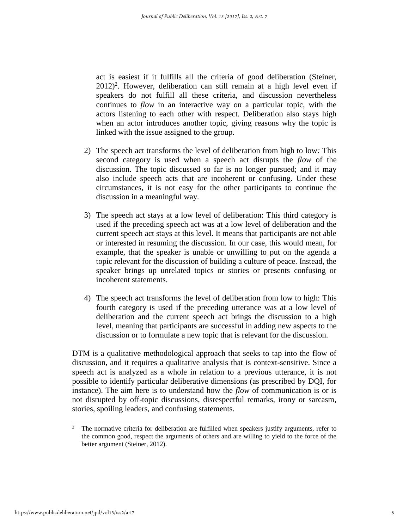act is easiest if it fulfills all the criteria of good deliberation (Steiner,  $2012$ <sup>2</sup>. However, deliberation can still remain at a high level even if speakers do not fulfill all these criteria, and discussion nevertheless continues to *flow* in an interactive way on a particular topic, with the actors listening to each other with respect. Deliberation also stays high when an actor introduces another topic, giving reasons why the topic is linked with the issue assigned to the group.

- 2) The speech act transforms the level of deliberation from high to low*:* This second category is used when a speech act disrupts the *flow* of the discussion. The topic discussed so far is no longer pursued; and it may also include speech acts that are incoherent or confusing. Under these circumstances, it is not easy for the other participants to continue the discussion in a meaningful way.
- 3) The speech act stays at a low level of deliberation: This third category is used if the preceding speech act was at a low level of deliberation and the current speech act stays at this level. It means that participants are not able or interested in resuming the discussion. In our case, this would mean, for example, that the speaker is unable or unwilling to put on the agenda a topic relevant for the discussion of building a culture of peace. Instead, the speaker brings up unrelated topics or stories or presents confusing or incoherent statements.
- 4) The speech act transforms the level of deliberation from low to high: This fourth category is used if the preceding utterance was at a low level of deliberation and the current speech act brings the discussion to a high level, meaning that participants are successful in adding new aspects to the discussion or to formulate a new topic that is relevant for the discussion.

DTM is a qualitative methodological approach that seeks to tap into the flow of discussion, and it requires a qualitative analysis that is context-sensitive. Since a speech act is analyzed as a whole in relation to a previous utterance, it is not possible to identify particular deliberative dimensions (as prescribed by DQI, for instance). The aim here is to understand how the *flow* of communication is or is not disrupted by off-topic discussions, disrespectful remarks, irony or sarcasm, stories, spoiling leaders, and confusing statements.

1

<sup>2</sup> The normative criteria for deliberation are fulfilled when speakers justify arguments, refer to the common good, respect the arguments of others and are willing to yield to the force of the better argument (Steiner, 2012).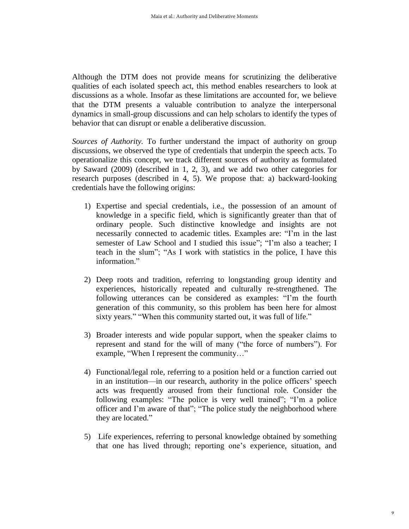Although the DTM does not provide means for scrutinizing the deliberative qualities of each isolated speech act, this method enables researchers to look at discussions as a whole. Insofar as these limitations are accounted for, we believe that the DTM presents a valuable contribution to analyze the interpersonal dynamics in small-group discussions and can help scholars to identify the types of behavior that can disrupt or enable a deliberative discussion.

*Sources of Authority.* To further understand the impact of authority on group discussions, we observed the type of credentials that underpin the speech acts. To operationalize this concept, we track different sources of authority as formulated by Saward (2009) (described in 1, 2, 3), and we add two other categories for research purposes (described in 4, 5). We propose that: a) backward-looking credentials have the following origins:

- 1) Expertise and special credentials, i.e., the possession of an amount of knowledge in a specific field, which is significantly greater than that of ordinary people. Such distinctive knowledge and insights are not necessarily connected to academic titles. Examples are: "I'm in the last semester of Law School and I studied this issue"; "I'm also a teacher; I teach in the slum"; "As I work with statistics in the police, I have this information."
- 2) Deep roots and tradition, referring to longstanding group identity and experiences, historically repeated and culturally re-strengthened. The following utterances can be considered as examples: "I'm the fourth generation of this community, so this problem has been here for almost sixty years." "When this community started out, it was full of life."
- 3) Broader interests and wide popular support, when the speaker claims to represent and stand for the will of many ("the force of numbers"). For example, "When I represent the community…"
- 4) Functional/legal role, referring to a position held or a function carried out in an institution—in our research, authority in the police officers' speech acts was frequently aroused from their functional role. Consider the following examples: "The police is very well trained"; "I'm a police officer and I'm aware of that"; "The police study the neighborhood where they are located."
- 5) Life experiences, referring to personal knowledge obtained by something that one has lived through; reporting one's experience, situation, and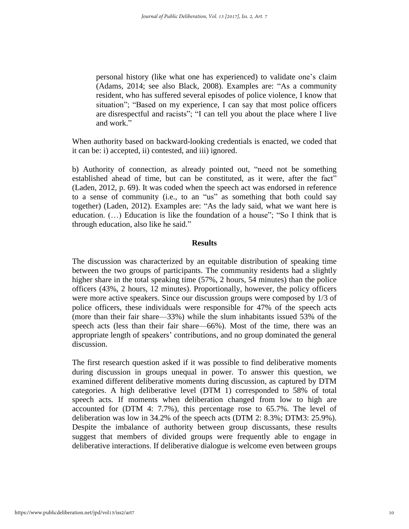personal history (like what one has experienced) to validate one's claim (Adams, 2014; see also Black, 2008). Examples are: "As a community resident, who has suffered several episodes of police violence, I know that situation"; "Based on my experience, I can say that most police officers are disrespectful and racists"; "I can tell you about the place where I live and work."

When authority based on backward-looking credentials is enacted, we coded that it can be: i) accepted, ii) contested, and iii) ignored.

b) Authority of connection, as already pointed out, "need not be something established ahead of time, but can be constituted, as it were, after the fact" (Laden, 2012, p. 69). It was coded when the speech act was endorsed in reference to a sense of community (i.e., to an "us" as something that both could say together) (Laden, 2012). Examples are: "As the lady said, what we want here is education. (…) Education is like the foundation of a house"; "So I think that is through education, also like he said."

### **Results**

The discussion was characterized by an equitable distribution of speaking time between the two groups of participants. The community residents had a slightly higher share in the total speaking time (57%, 2 hours, 54 minutes) than the police officers (43%, 2 hours, 12 minutes). Proportionally, however, the policy officers were more active speakers. Since our discussion groups were composed by 1/3 of police officers, these individuals were responsible for 47% of the speech acts (more than their fair share—33%) while the slum inhabitants issued 53% of the speech acts (less than their fair share—66%). Most of the time, there was an appropriate length of speakers' contributions, and no group dominated the general discussion.

The first research question asked if it was possible to find deliberative moments during discussion in groups unequal in power. To answer this question, we examined different deliberative moments during discussion, as captured by DTM categories. A high deliberative level (DTM 1) corresponded to 58% of total speech acts. If moments when deliberation changed from low to high are accounted for (DTM 4: 7.7%), this percentage rose to 65.7%. The level of deliberation was low in 34.2% of the speech acts (DTM 2: 8.3%; DTM3: 25.9%). Despite the imbalance of authority between group discussants, these results suggest that members of divided groups were frequently able to engage in deliberative interactions. If deliberative dialogue is welcome even between groups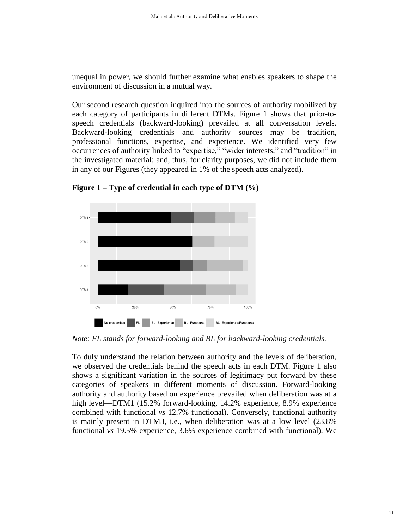unequal in power, we should further examine what enables speakers to shape the environment of discussion in a mutual way.

Our second research question inquired into the sources of authority mobilized by each category of participants in different DTMs. Figure 1 shows that prior-tospeech credentials (backward-looking) prevailed at all conversation levels. Backward-looking credentials and authority sources may be tradition, professional functions, expertise, and experience. We identified very few occurrences of authority linked to "expertise," "wider interests," and "tradition" in the investigated material; and, thus, for clarity purposes, we did not include them in any of our Figures (they appeared in 1% of the speech acts analyzed).



**Figure 1 – Type of credential in each type of DTM (%)**

*Note: FL stands for forward-looking and BL for backward-looking credentials.*

To duly understand the relation between authority and the levels of deliberation, we observed the credentials behind the speech acts in each DTM. Figure 1 also shows a significant variation in the sources of legitimacy put forward by these categories of speakers in different moments of discussion. Forward-looking authority and authority based on experience prevailed when deliberation was at a high level—DTM1 (15.2% forward-looking, 14.2% experience, 8.9% experience combined with functional *vs* 12.7% functional). Conversely, functional authority is mainly present in DTM3, i.e., when deliberation was at a low level (23.8% functional *vs* 19.5% experience, 3.6% experience combined with functional). We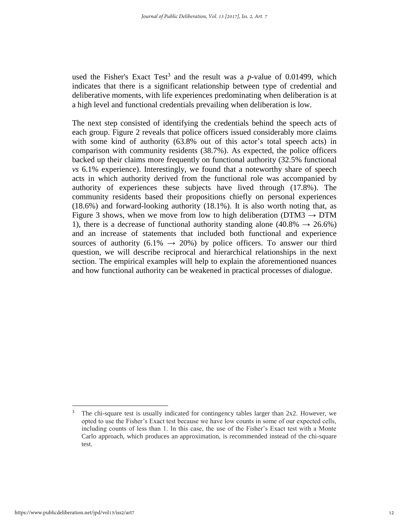used the Fisher's Exact Test<sup>3</sup> and the result was a  $p$ -value of 0.01499, which indicates that there is a significant relationship between type of credential and deliberative moments, with life experiences predominating when deliberation is at a high level and functional credentials prevailing when deliberation is low.

The next step consisted of identifying the credentials behind the speech acts of each group. Figure 2 reveals that police officers issued considerably more claims with some kind of authority (63.8% out of this actor's total speech acts) in comparison with community residents (38.7%). As expected, the police officers backed up their claims more frequently on functional authority (32.5% functional *vs* 6.1% experience). Interestingly, we found that a noteworthy share of speech acts in which authority derived from the functional role was accompanied by authority of experiences these subjects have lived through (17.8%). The community residents based their propositions chiefly on personal experiences (18.6%) and forward-looking authority (18.1%). It is also worth noting that, as Figure 3 shows, when we move from low to high deliberation (DTM3  $\rightarrow$  DTM 1), there is a decrease of functional authority standing alone (40.8%  $\rightarrow$  26.6%) and an increase of statements that included both functional and experience sources of authority (6.1%  $\rightarrow$  20%) by police officers. To answer our third question, we will describe reciprocal and hierarchical relationships in the next section. The empirical examples will help to explain the aforementioned nuances and how functional authority can be weakened in practical processes of dialogue.

<sup>&</sup>lt;u>.</u> <sup>3</sup> The chi-square test is usually indicated for contingency tables larger than 2x2. However, we opted to use the Fisher's Exact test because we have low counts in some of our expected cells, including counts of less than 1. In this case, the use of the Fisher's Exact test with a Monte Carlo approach, which produces an approximation, is recommended instead of the chi-square test.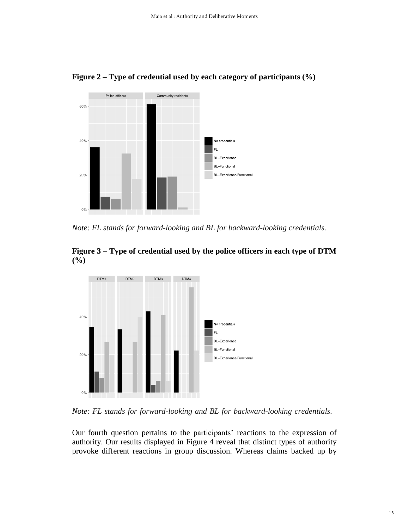

**Figure 2 – Type of credential used by each category of participants (%)**

*Note: FL stands for forward-looking and BL for backward-looking credentials.*





*Note: FL stands for forward-looking and BL for backward-looking credentials.*

Our fourth question pertains to the participants' reactions to the expression of authority. Our results displayed in Figure 4 reveal that distinct types of authority provoke different reactions in group discussion. Whereas claims backed up by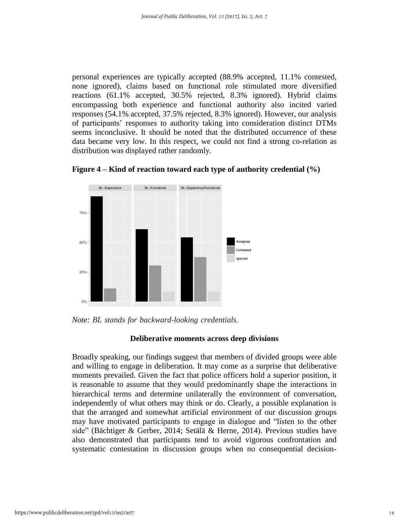personal experiences are typically accepted (88.9% accepted, 11.1% contested, none ignored), claims based on functional role stimulated more diversified reactions (61.1% accepted, 30.5% rejected, 8.3% ignored). Hybrid claims encompassing both experience and functional authority also incited varied responses (54.1% accepted, 37.5% rejected, 8.3% ignored). However, our analysis of participants' responses to authority taking into consideration distinct DTMs seems inconclusive. It should be noted that the distributed occurrence of these data became very low. In this respect, we could not find a strong co-relation as distribution was displayed rather randomly.





*Note: BL stands for backward-looking credentials.*

# **Deliberative moments across deep divisions**

Broadly speaking, our findings suggest that members of divided groups were able and willing to engage in deliberation. It may come as a surprise that deliberative moments prevailed. Given the fact that police officers hold a superior position, it is reasonable to assume that they would predominantly shape the interactions in hierarchical terms and determine unilaterally the environment of conversation, independently of what others may think or do. Clearly, a possible explanation is that the arranged and somewhat artificial environment of our discussion groups may have motivated participants to engage in dialogue and "listen to the other side" (Bächtiger & Gerber, 2014; Setälä & Herne, 2014). Previous studies have also demonstrated that participants tend to avoid vigorous confrontation and systematic contestation in discussion groups when no consequential decision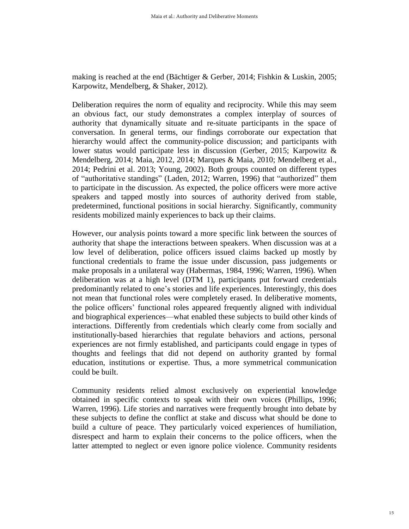making is reached at the end (Bächtiger & Gerber, 2014; Fishkin & Luskin, 2005; Karpowitz, Mendelberg, & Shaker, 2012).

Deliberation requires the norm of equality and reciprocity. While this may seem an obvious fact, our study demonstrates a complex interplay of sources of authority that dynamically situate and re-situate participants in the space of conversation. In general terms, our findings corroborate our expectation that hierarchy would affect the community-police discussion; and participants with lower status would participate less in discussion (Gerber, 2015; Karpowitz & Mendelberg, 2014; Maia, 2012, 2014; Marques & Maia, 2010; Mendelberg et al., 2014; Pedrini et al. 2013; Young, 2002). Both groups counted on different types of "authoritative standings" (Laden, 2012; Warren, 1996) that "authorized" them to participate in the discussion. As expected, the police officers were more active speakers and tapped mostly into sources of authority derived from stable, predetermined, functional positions in social hierarchy. Significantly, community residents mobilized mainly experiences to back up their claims.

However, our analysis points toward a more specific link between the sources of authority that shape the interactions between speakers. When discussion was at a low level of deliberation, police officers issued claims backed up mostly by functional credentials to frame the issue under discussion, pass judgements or make proposals in a unilateral way (Habermas, 1984, 1996; Warren, 1996). When deliberation was at a high level (DTM 1), participants put forward credentials predominantly related to one's stories and life experiences. Interestingly, this does not mean that functional roles were completely erased. In deliberative moments, the police officers' functional roles appeared frequently aligned with individual and biographical experiences—what enabled these subjects to build other kinds of interactions. Differently from credentials which clearly come from socially and institutionally-based hierarchies that regulate behaviors and actions, personal experiences are not firmly established, and participants could engage in types of thoughts and feelings that did not depend on authority granted by formal education, institutions or expertise. Thus, a more symmetrical communication could be built.

Community residents relied almost exclusively on experiential knowledge obtained in specific contexts to speak with their own voices (Phillips, 1996; Warren, 1996). Life stories and narratives were frequently brought into debate by these subjects to define the conflict at stake and discuss what should be done to build a culture of peace. They particularly voiced experiences of humiliation, disrespect and harm to explain their concerns to the police officers, when the latter attempted to neglect or even ignore police violence. Community residents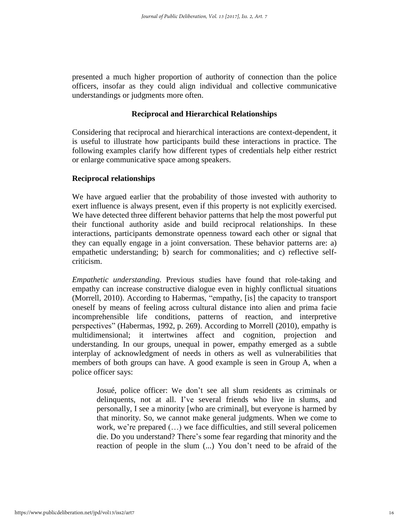presented a much higher proportion of authority of connection than the police officers, insofar as they could align individual and collective communicative understandings or judgments more often.

# **Reciprocal and Hierarchical Relationships**

Considering that reciprocal and hierarchical interactions are context-dependent, it is useful to illustrate how participants build these interactions in practice. The following examples clarify how different types of credentials help either restrict or enlarge communicative space among speakers.

# **Reciprocal relationships**

We have argued earlier that the probability of those invested with authority to exert influence is always present, even if this property is not explicitly exercised. We have detected three different behavior patterns that help the most powerful put their functional authority aside and build reciprocal relationships. In these interactions, participants demonstrate openness toward each other or signal that they can equally engage in a joint conversation. These behavior patterns are: a) empathetic understanding; b) search for commonalities; and c) reflective selfcriticism.

*Empathetic understanding.* Previous studies have found that role-taking and empathy can increase constructive dialogue even in highly conflictual situations (Morrell, 2010). According to Habermas, "empathy, [is] the capacity to transport oneself by means of feeling across cultural distance into alien and prima facie incomprehensible life conditions, patterns of reaction, and interpretive perspectives" (Habermas, 1992, p. 269). According to Morrell (2010), empathy is multidimensional; it intertwines affect and cognition, projection and understanding. In our groups, unequal in power, empathy emerged as a subtle interplay of acknowledgment of needs in others as well as vulnerabilities that members of both groups can have. A good example is seen in Group A, when a police officer says:

Josué, police officer: We don't see all slum residents as criminals or delinquents, not at all. I've several friends who live in slums, and personally, I see a minority [who are criminal], but everyone is harmed by that minority. So, we cannot make general judgments. When we come to work, we're prepared (…) we face difficulties, and still several policemen die. Do you understand? There's some fear regarding that minority and the reaction of people in the slum (...) You don't need to be afraid of the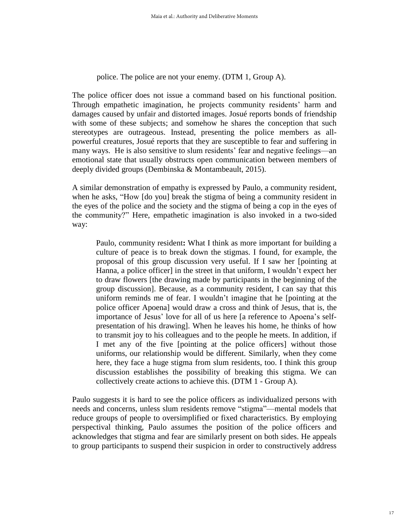police. The police are not your enemy. (DTM 1, Group A).

The police officer does not issue a command based on his functional position. Through empathetic imagination, he projects community residents' harm and damages caused by unfair and distorted images. Josué reports bonds of friendship with some of these subjects; and somehow he shares the conception that such stereotypes are outrageous. Instead, presenting the police members as allpowerful creatures, Josué reports that they are susceptible to fear and suffering in many ways. He is also sensitive to slum residents' fear and negative feelings—an emotional state that usually obstructs open communication between members of deeply divided groups (Dembinska & Montambeault, 2015).

A similar demonstration of empathy is expressed by Paulo, a community resident, when he asks, "How [do you] break the stigma of being a community resident in the eyes of the police and the society and the stigma of being a cop in the eyes of the community?" Here, empathetic imagination is also invoked in a two-sided way:

Paulo, community resident**:** What I think as more important for building a culture of peace is to break down the stigmas. I found, for example, the proposal of this group discussion very useful. If I saw her [pointing at Hanna, a police officer] in the street in that uniform, I wouldn't expect her to draw flowers [the drawing made by participants in the beginning of the group discussion]. Because, as a community resident, I can say that this uniform reminds me of fear. I wouldn't imagine that he [pointing at the police officer Apoena] would draw a cross and think of Jesus, that is, the importance of Jesus' love for all of us here [a reference to Apoena's selfpresentation of his drawing]. When he leaves his home, he thinks of how to transmit joy to his colleagues and to the people he meets. In addition, if I met any of the five [pointing at the police officers] without those uniforms, our relationship would be different. Similarly, when they come here, they face a huge stigma from slum residents, too. I think this group discussion establishes the possibility of breaking this stigma. We can collectively create actions to achieve this. (DTM 1 - Group A).

Paulo suggests it is hard to see the police officers as individualized persons with needs and concerns, unless slum residents remove "stigma"—mental models that reduce groups of people to oversimplified or fixed characteristics. By employing perspectival thinking, Paulo assumes the position of the police officers and acknowledges that stigma and fear are similarly present on both sides. He appeals to group participants to suspend their suspicion in order to constructively address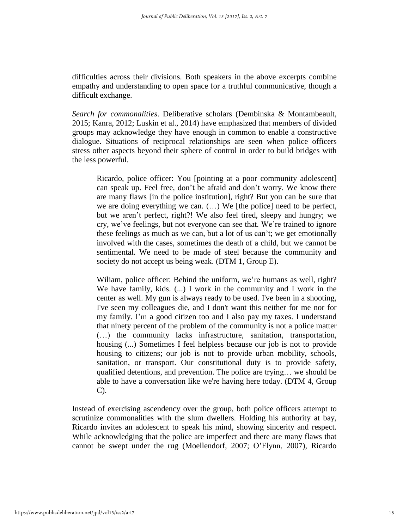difficulties across their divisions. Both speakers in the above excerpts combine empathy and understanding to open space for a truthful communicative, though a difficult exchange.

*Search for commonalities*. Deliberative scholars (Dembinska & Montambeault, 2015; Kanra, 2012; Luskin et al., 2014) have emphasized that members of divided groups may acknowledge they have enough in common to enable a constructive dialogue. Situations of reciprocal relationships are seen when police officers stress other aspects beyond their sphere of control in order to build bridges with the less powerful.

Ricardo, police officer: You [pointing at a poor community adolescent] can speak up. Feel free, don't be afraid and don't worry. We know there are many flaws [in the police institution], right? But you can be sure that we are doing everything we can. (…) We [the police] need to be perfect, but we aren't perfect, right?! We also feel tired, sleepy and hungry; we cry, we've feelings, but not everyone can see that. We're trained to ignore these feelings as much as we can, but a lot of us can't; we get emotionally involved with the cases, sometimes the death of a child, but we cannot be sentimental. We need to be made of steel because the community and society do not accept us being weak. (DTM 1, Group E).

Wiliam, police officer: Behind the uniform, we're humans as well, right? We have family, kids. (...) I work in the community and I work in the center as well. My gun is always ready to be used. I've been in a shooting, I've seen my colleagues die, and I don't want this neither for me nor for my family. I'm a good citizen too and I also pay my taxes. I understand that ninety percent of the problem of the community is not a police matter (…) the community lacks infrastructure, sanitation, transportation, housing (...) Sometimes I feel helpless because our job is not to provide housing to citizens; our job is not to provide urban mobility, schools, sanitation, or transport. Our constitutional duty is to provide safety, qualified detentions, and prevention. The police are trying… we should be able to have a conversation like we're having here today. (DTM 4, Group C).

Instead of exercising ascendency over the group, both police officers attempt to scrutinize commonalities with the slum dwellers. Holding his authority at bay, Ricardo invites an adolescent to speak his mind, showing sincerity and respect. While acknowledging that the police are imperfect and there are many flaws that cannot be swept under the rug (Moellendorf, 2007; O'Flynn, 2007), Ricardo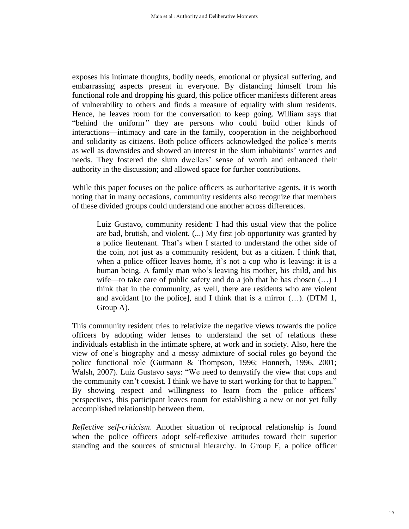exposes his intimate thoughts, bodily needs, emotional or physical suffering, and embarrassing aspects present in everyone. By distancing himself from his functional role and dropping his guard, this police officer manifests different areas of vulnerability to others and finds a measure of equality with slum residents. Hence, he leaves room for the conversation to keep going. William says that "behind the uniform*"* they are persons who could build other kinds of interactions—intimacy and care in the family, cooperation in the neighborhood and solidarity as citizens. Both police officers acknowledged the police's merits as well as downsides and showed an interest in the slum inhabitants' worries and needs. They fostered the slum dwellers' sense of worth and enhanced their authority in the discussion; and allowed space for further contributions.

While this paper focuses on the police officers as authoritative agents, it is worth noting that in many occasions, community residents also recognize that members of these divided groups could understand one another across differences.

Luiz Gustavo, community resident: I had this usual view that the police are bad, brutish, and violent. (...) My first job opportunity was granted by a police lieutenant. That's when I started to understand the other side of the coin, not just as a community resident, but as a citizen. I think that, when a police officer leaves home, it's not a cop who is leaving: it is a human being. A family man who's leaving his mother, his child, and his wife—to take care of public safety and do a job that he has chosen  $(...) I$ think that in the community, as well, there are residents who are violent and avoidant [to the police], and I think that is a mirror  $(...)$ . (DTM 1, Group A).

This community resident tries to relativize the negative views towards the police officers by adopting wider lenses to understand the set of relations these individuals establish in the intimate sphere, at work and in society. Also, here the view of one's biography and a messy admixture of social roles go beyond the police functional role (Gutmann & Thompson, 1996; Honneth, 1996, 2001; Walsh, 2007). Luiz Gustavo says: "We need to demystify the view that cops and the community can't coexist. I think we have to start working for that to happen." By showing respect and willingness to learn from the police officers' perspectives, this participant leaves room for establishing a new or not yet fully accomplished relationship between them.

*Reflective self-criticism*. Another situation of reciprocal relationship is found when the police officers adopt self-reflexive attitudes toward their superior standing and the sources of structural hierarchy. In Group F, a police officer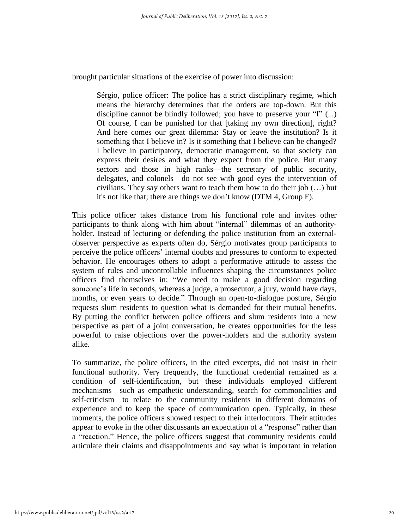brought particular situations of the exercise of power into discussion:

Sérgio, police officer: The police has a strict disciplinary regime, which means the hierarchy determines that the orders are top-down. But this discipline cannot be blindly followed; you have to preserve your "I" (...) Of course, I can be punished for that [taking my own direction], right? And here comes our great dilemma: Stay or leave the institution? Is it something that I believe in? Is it something that I believe can be changed? I believe in participatory, democratic management, so that society can express their desires and what they expect from the police. But many sectors and those in high ranks—the secretary of public security, delegates, and colonels—do not see with good eyes the intervention of civilians. They say others want to teach them how to do their job  $(...)$  but it's not like that; there are things we don't know (DTM 4, Group F).

This police officer takes distance from his functional role and invites other participants to think along with him about "internal" dilemmas of an authorityholder. Instead of lecturing or defending the police institution from an externalobserver perspective as experts often do, Sérgio motivates group participants to perceive the police officers' internal doubts and pressures to conform to expected behavior. He encourages others to adopt a performative attitude to assess the system of rules and uncontrollable influences shaping the circumstances police officers find themselves in: "We need to make a good decision regarding someone's life in seconds, whereas a judge, a prosecutor, a jury, would have days, months, or even years to decide." Through an open-to-dialogue posture, Sérgio requests slum residents to question what is demanded for their mutual benefits*.* By putting the conflict between police officers and slum residents into a new perspective as part of a joint conversation, he creates opportunities for the less powerful to raise objections over the power-holders and the authority system alike.

To summarize, the police officers, in the cited excerpts, did not insist in their functional authority. Very frequently, the functional credential remained as a condition of self-identification, but these individuals employed different mechanisms—such as empathetic understanding, search for commonalities and self-criticism—to relate to the community residents in different domains of experience and to keep the space of communication open. Typically, in these moments, the police officers showed respect to their interlocutors. Their attitudes appear to evoke in the other discussants an expectation of a "response" rather than a "reaction." Hence, the police officers suggest that community residents could articulate their claims and disappointments and say what is important in relation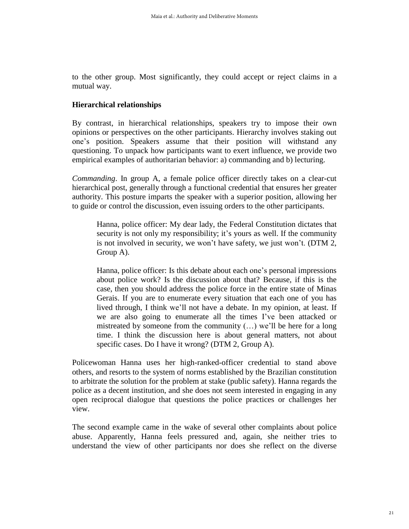to the other group. Most significantly, they could accept or reject claims in a mutual way.

# **Hierarchical relationships**

By contrast, in hierarchical relationships, speakers try to impose their own opinions or perspectives on the other participants. Hierarchy involves staking out one's position. Speakers assume that their position will withstand any questioning. To unpack how participants want to exert influence, we provide two empirical examples of authoritarian behavior: a) commanding and b) lecturing.

*Commanding*. In group A, a female police officer directly takes on a clear-cut hierarchical post, generally through a functional credential that ensures her greater authority. This posture imparts the speaker with a superior position, allowing her to guide or control the discussion, even issuing orders to the other participants.

Hanna, police officer: My dear lady, the Federal Constitution dictates that security is not only my responsibility; it's yours as well. If the community is not involved in security, we won't have safety, we just won't. (DTM 2, Group A).

Hanna, police officer: Is this debate about each one's personal impressions about police work? Is the discussion about that? Because, if this is the case, then you should address the police force in the entire state of Minas Gerais. If you are to enumerate every situation that each one of you has lived through, I think we'll not have a debate. In my opinion, at least. If we are also going to enumerate all the times I've been attacked or mistreated by someone from the community (…) we'll be here for a long time. I think the discussion here is about general matters, not about specific cases. Do I have it wrong? (DTM 2, Group A).

Policewoman Hanna uses her high-ranked-officer credential to stand above others, and resorts to the system of norms established by the Brazilian constitution to arbitrate the solution for the problem at stake (public safety). Hanna regards the police as a decent institution, and she does not seem interested in engaging in any open reciprocal dialogue that questions the police practices or challenges her view.

The second example came in the wake of several other complaints about police abuse. Apparently, Hanna feels pressured and, again, she neither tries to understand the view of other participants nor does she reflect on the diverse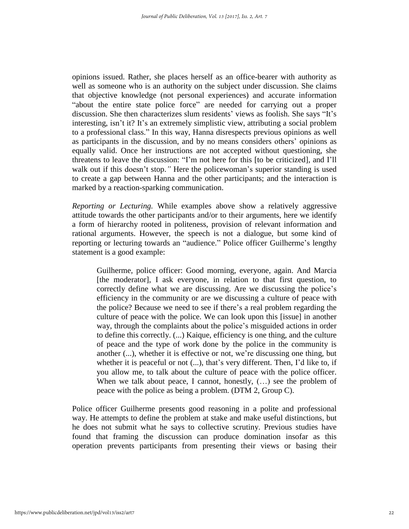opinions issued. Rather, she places herself as an office-bearer with authority as well as someone who is an authority on the subject under discussion. She claims that objective knowledge (not personal experiences) and accurate information "about the entire state police force" are needed for carrying out a proper discussion. She then characterizes slum residents' views as foolish. She says "It's interesting, isn't it? It's an extremely simplistic view, attributing a social problem to a professional class." In this way, Hanna disrespects previous opinions as well as participants in the discussion, and by no means considers others' opinions as equally valid. Once her instructions are not accepted without questioning, she threatens to leave the discussion: "I'm not here for this [to be criticized], and I'll walk out if this doesn't stop.*"* Here the policewoman's superior standing is used to create a gap between Hanna and the other participants; and the interaction is marked by a reaction-sparking communication.

*Reporting or Lecturing.* While examples above show a relatively aggressive attitude towards the other participants and/or to their arguments, here we identify a form of hierarchy rooted in politeness, provision of relevant information and rational arguments. However, the speech is not a dialogue, but some kind of reporting or lecturing towards an "audience." Police officer Guilherme's lengthy statement is a good example:

Guilherme, police officer: Good morning, everyone, again. And Marcia [the moderator], I ask everyone, in relation to that first question, to correctly define what we are discussing. Are we discussing the police's efficiency in the community or are we discussing a culture of peace with the police? Because we need to see if there's a real problem regarding the culture of peace with the police. We can look upon this [issue] in another way, through the complaints about the police's misguided actions in order to define this correctly. (...) Kaique, efficiency is one thing, and the culture of peace and the type of work done by the police in the community is another (...), whether it is effective or not, we're discussing one thing, but whether it is peaceful or not  $(...)$ , that's very different. Then, I'd like to, if you allow me, to talk about the culture of peace with the police officer. When we talk about peace, I cannot, honestly,  $(...)$  see the problem of peace with the police as being a problem. (DTM 2, Group C).

Police officer Guilherme presents good reasoning in a polite and professional way. He attempts to define the problem at stake and make useful distinctions, but he does not submit what he says to collective scrutiny. Previous studies have found that framing the discussion can produce domination insofar as this operation prevents participants from presenting their views or basing their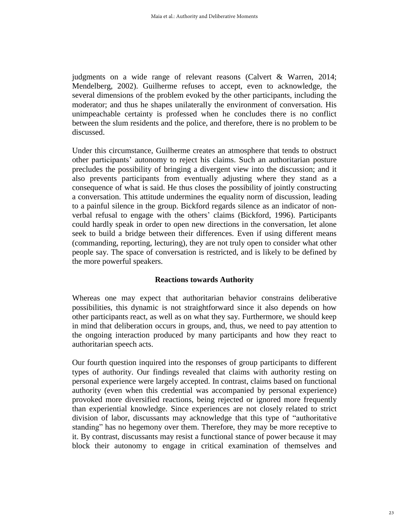judgments on a wide range of relevant reasons (Calvert & Warren, 2014; Mendelberg, 2002). Guilherme refuses to accept, even to acknowledge, the several dimensions of the problem evoked by the other participants, including the moderator; and thus he shapes unilaterally the environment of conversation. His unimpeachable certainty is professed when he concludes there is no conflict between the slum residents and the police, and therefore, there is no problem to be discussed.

Under this circumstance, Guilherme creates an atmosphere that tends to obstruct other participants' autonomy to reject his claims. Such an authoritarian posture precludes the possibility of bringing a divergent view into the discussion; and it also prevents participants from eventually adjusting where they stand as a consequence of what is said. He thus closes the possibility of jointly constructing a conversation. This attitude undermines the equality norm of discussion, leading to a painful silence in the group. Bickford regards silence as an indicator of nonverbal refusal to engage with the others' claims (Bickford, 1996). Participants could hardly speak in order to open new directions in the conversation, let alone seek to build a bridge between their differences. Even if using different means (commanding, reporting, lecturing), they are not truly open to consider what other people say. The space of conversation is restricted, and is likely to be defined by the more powerful speakers.

### **Reactions towards Authority**

Whereas one may expect that authoritarian behavior constrains deliberative possibilities, this dynamic is not straightforward since it also depends on how other participants react, as well as on what they say. Furthermore, we should keep in mind that deliberation occurs in groups, and, thus, we need to pay attention to the ongoing interaction produced by many participants and how they react to authoritarian speech acts.

Our fourth question inquired into the responses of group participants to different types of authority. Our findings revealed that claims with authority resting on personal experience were largely accepted. In contrast, claims based on functional authority (even when this credential was accompanied by personal experience) provoked more diversified reactions, being rejected or ignored more frequently than experiential knowledge. Since experiences are not closely related to strict division of labor, discussants may acknowledge that this type of "authoritative standing" has no hegemony over them. Therefore, they may be more receptive to it. By contrast, discussants may resist a functional stance of power because it may block their autonomy to engage in critical examination of themselves and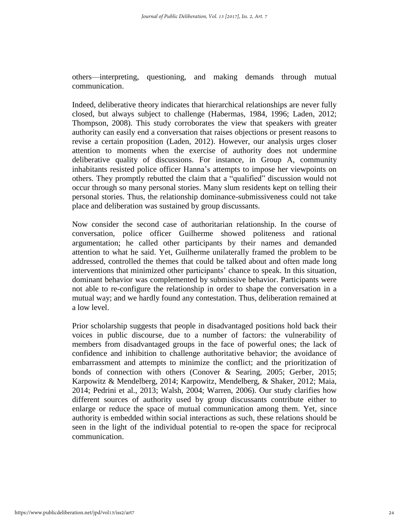others—interpreting, questioning, and making demands through mutual communication.

Indeed, deliberative theory indicates that hierarchical relationships are never fully closed, but always subject to challenge (Habermas, 1984, 1996; Laden, 2012; Thompson, 2008). This study corroborates the view that speakers with greater authority can easily end a conversation that raises objections or present reasons to revise a certain proposition (Laden, 2012). However, our analysis urges closer attention to moments when the exercise of authority does not undermine deliberative quality of discussions. For instance, in Group A, community inhabitants resisted police officer Hanna's attempts to impose her viewpoints on others. They promptly rebutted the claim that a "qualified" discussion would not occur through so many personal stories. Many slum residents kept on telling their personal stories. Thus, the relationship dominance-submissiveness could not take place and deliberation was sustained by group discussants.

Now consider the second case of authoritarian relationship. In the course of conversation, police officer Guilherme showed politeness and rational argumentation; he called other participants by their names and demanded attention to what he said. Yet, Guilherme unilaterally framed the problem to be addressed, controlled the themes that could be talked about and often made long interventions that minimized other participants' chance to speak. In this situation, dominant behavior was complemented by submissive behavior. Participants were not able to re-configure the relationship in order to shape the conversation in a mutual way; and we hardly found any contestation. Thus, deliberation remained at a low level.

Prior scholarship suggests that people in disadvantaged positions hold back their voices in public discourse, due to a number of factors: the vulnerability of members from disadvantaged groups in the face of powerful ones; the lack of confidence and inhibition to challenge authoritative behavior; the avoidance of embarrassment and attempts to minimize the conflict; and the prioritization of bonds of connection with others (Conover & Searing, 2005; Gerber, 2015; Karpowitz & Mendelberg, 2014; Karpowitz, Mendelberg, & Shaker, 2012; Maia, 2014; Pedrini et al., 2013; Walsh, 2004; Warren, 2006). Our study clarifies how different sources of authority used by group discussants contribute either to enlarge or reduce the space of mutual communication among them. Yet, since authority is embedded within social interactions as such, these relations should be seen in the light of the individual potential to re-open the space for reciprocal communication.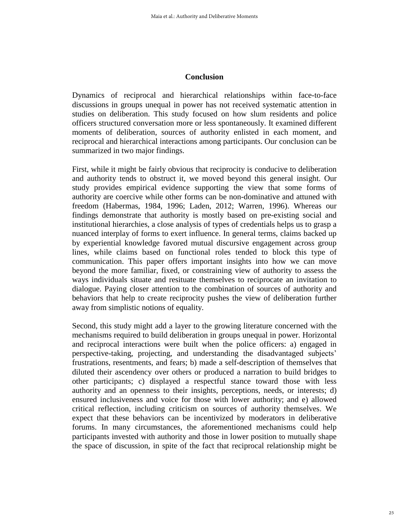#### **Conclusion**

Dynamics of reciprocal and hierarchical relationships within face-to-face discussions in groups unequal in power has not received systematic attention in studies on deliberation. This study focused on how slum residents and police officers structured conversation more or less spontaneously. It examined different moments of deliberation, sources of authority enlisted in each moment, and reciprocal and hierarchical interactions among participants. Our conclusion can be summarized in two major findings.

First, while it might be fairly obvious that reciprocity is conducive to deliberation and authority tends to obstruct it, we moved beyond this general insight. Our study provides empirical evidence supporting the view that some forms of authority are coercive while other forms can be non-dominative and attuned with freedom (Habermas, 1984, 1996; Laden, 2012; Warren, 1996). Whereas our findings demonstrate that authority is mostly based on pre-existing social and institutional hierarchies, a close analysis of types of credentials helps us to grasp a nuanced interplay of forms to exert influence. In general terms, claims backed up by experiential knowledge favored mutual discursive engagement across group lines, while claims based on functional roles tended to block this type of communication. This paper offers important insights into how we can move beyond the more familiar, fixed, or constraining view of authority to assess the ways individuals situate and resituate themselves to reciprocate an invitation to dialogue. Paying closer attention to the combination of sources of authority and behaviors that help to create reciprocity pushes the view of deliberation further away from simplistic notions of equality.

Second, this study might add a layer to the growing literature concerned with the mechanisms required to build deliberation in groups unequal in power. Horizontal and reciprocal interactions were built when the police officers: a) engaged in perspective-taking, projecting, and understanding the disadvantaged subjects' frustrations, resentments, and fears; b) made a self-description of themselves that diluted their ascendency over others or produced a narration to build bridges to other participants; c) displayed a respectful stance toward those with less authority and an openness to their insights, perceptions, needs, or interests; d) ensured inclusiveness and voice for those with lower authority; and e) allowed critical reflection, including criticism on sources of authority themselves. We expect that these behaviors can be incentivized by moderators in deliberative forums. In many circumstances, the aforementioned mechanisms could help participants invested with authority and those in lower position to mutually shape the space of discussion, in spite of the fact that reciprocal relationship might be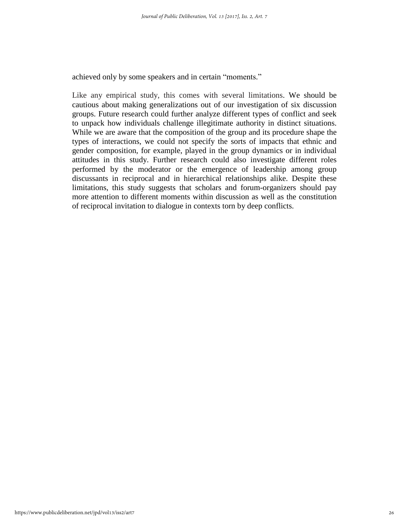achieved only by some speakers and in certain "moments."

Like any empirical study, this comes with several limitations. We should be cautious about making generalizations out of our investigation of six discussion groups. Future research could further analyze different types of conflict and seek to unpack how individuals challenge illegitimate authority in distinct situations. While we are aware that the composition of the group and its procedure shape the types of interactions, we could not specify the sorts of impacts that ethnic and gender composition, for example, played in the group dynamics or in individual attitudes in this study. Further research could also investigate different roles performed by the moderator or the emergence of leadership among group discussants in reciprocal and in hierarchical relationships alike. Despite these limitations, this study suggests that scholars and forum-organizers should pay more attention to different moments within discussion as well as the constitution of reciprocal invitation to dialogue in contexts torn by deep conflicts.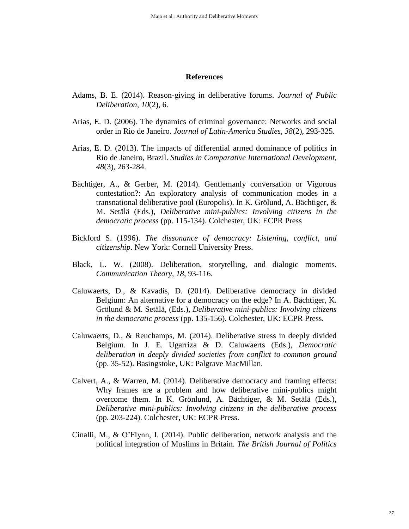#### **References**

- Adams, B. E. (2014). Reason-giving in deliberative forums. *Journal of Public Deliberation, 10*(2), 6.
- Arias, E. D. (2006). The dynamics of criminal governance: Networks and social order in Rio de Janeiro. *Journal of Latin-America Studies, 38*(2), 293-325.
- Arias, E. D. (2013). The impacts of differential armed dominance of politics in Rio de Janeiro, Brazil. *Studies in Comparative International Development, 48*(3), 263-284.
- Bächtiger, A., & Gerber, M. (2014). Gentlemanly conversation or Vigorous contestation?: An exploratory analysis of communication modes in a transnational deliberative pool (Europolis). In K. Grölund, A. Bächtiger, & M. Setälä (Eds.), *Deliberative mini-publics: Involving citizens in the democratic process* (pp. 115-134). Colchester, UK: ECPR Press
- Bickford S. (1996). *The dissonance of democracy: Listening, conflict, and citizenship*. New York: Cornell University Press.
- Black, L. W. (2008). Deliberation, storytelling, and dialogic moments. *Communication Theory, 18*, 93-116.
- Caluwaerts, D., & Kavadis, D. (2014). Deliberative democracy in divided Belgium: An alternative for a democracy on the edge? In A. Bächtiger, K. Grölund & M. Setälä, (Eds.), *Deliberative mini-publics: Involving citizens in the democratic process* (pp. 135-156). Colchester, UK: ECPR Press.
- Caluwaerts, D., & Reuchamps, M. (2014). Deliberative stress in deeply divided Belgium. In J. E. Ugarriza & D. Caluwaerts (Eds.), *Democratic deliberation in deeply divided societies from conflict to common ground* (pp. 35-52). Basingstoke, UK: Palgrave MacMillan.
- Calvert, A., & Warren, M. (2014). Deliberative democracy and framing effects: Why frames are a problem and how deliberative mini-publics might overcome them. In K. Grönlund, A. Bächtiger, & M. Setälä (Eds.), *Deliberative mini-publics: Involving citizens in the deliberative process* (pp. 203-224). Colchester, UK: ECPR Press.
- Cinalli, M., & O'Flynn, I. (2014). Public deliberation, network analysis and the political integration of Muslims in Britain. *The British Journal of Politics*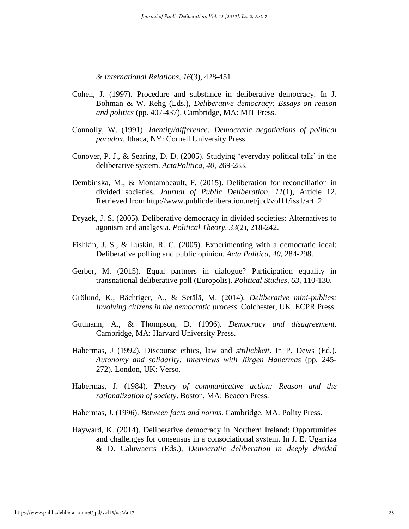*& International Relations, 16*(3), 428-451.

- Cohen, J. (1997). Procedure and substance in deliberative democracy. In J. Bohman & W. Rehg (Eds.), *Deliberative democracy: Essays on reason and politics* (pp. 407-437). Cambridge, MA: MIT Press.
- Connolly, W. (1991). *Identity/difference: Democratic negotiations of political paradox*. Ithaca, NY: Cornell University Press.
- Conover, P. J., & Searing, D. D. (2005). Studying 'everyday political talk' in the deliberative system. *ActaPolitica, 40*, 269-283.
- Dembinska, M., & Montambeault, F. (2015). Deliberation for reconciliation in divided societies. *Journal of Public Deliberation, 11*(1), Article 12. Retrieved from http://www.publicdeliberation.net/jpd/vol11/iss1/art12
- Dryzek, J. S. (2005). Deliberative democracy in divided societies: Alternatives to agonism and analgesia. *Political Theory, 33*(2), 218-242.
- Fishkin, J. S., & Luskin, R. C. (2005). Experimenting with a democratic ideal: Deliberative polling and public opinion. *Acta Politica, 40*, 284-298.
- Gerber, M. (2015). Equal partners in dialogue? Participation equality in transnational deliberative poll (Europolis). *Political Studies, 63*, 110-130.
- Grölund, K., Bächtiger, A., & Setälä, M. (2014). *Deliberative mini-publics: Involving citizens in the democratic process*. Colchester, UK: ECPR Press.
- Gutmann, A., & Thompson, D. (1996). *Democracy and disagreement*. Cambridge, MA: Harvard University Press.
- Habermas, J (1992). Discourse ethics, law and *sttilichkeit*. In P. Dews (Ed.). *Autonomy and solidarity: Interviews with Jürgen Habermas* (pp. 245- 272). London, UK: Verso.
- Habermas, J. (1984). *Theory of communicative action: Reason and the rationalization of society*. Boston, MA: Beacon Press.

Habermas, J. (1996). *Between facts and norms*. Cambridge, MA: Polity Press.

Hayward, K. (2014). Deliberative democracy in Northern Ireland: Opportunities and challenges for consensus in a consociational system. In J. E. Ugarriza & D. Caluwaerts (Eds.), *Democratic deliberation in deeply divided*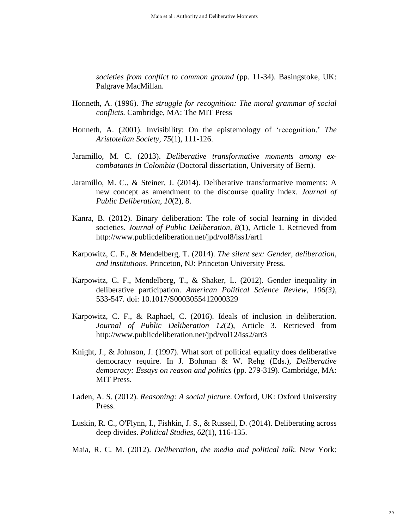*societies from conflict to common ground* (pp. 11-34). Basingstoke, UK: Palgrave MacMillan.

- Honneth, A. (1996). *The struggle for recognition: The moral grammar of social conflicts.* Cambridge, MA: The MIT Press
- Honneth, A. (2001). Invisibility: On the epistemology of 'recognition.' *The Aristotelian Society, 75*(1), 111-126.
- Jaramillo, M. C. (2013). *Deliberative transformative moments among excombatants in Colombia* (Doctoral dissertation, University of Bern).
- Jaramillo, M. C., & Steiner, J. (2014). Deliberative transformative moments: A new concept as amendment to the discourse quality index. *Journal of Public Deliberation, 10*(2), 8.
- Kanra, B. (2012). Binary deliberation: The role of social learning in divided societies. *Journal of Public Deliberation, 8*(1), Article 1. Retrieved from http://www.publicdeliberation.net/jpd/vol8/iss1/art1
- Karpowitz, C. F., & Mendelberg, T. (2014). *The silent sex: Gender, deliberation, and institutions*. Princeton, NJ: Princeton University Press.
- Karpowitz, C. F., Mendelberg, T., & Shaker, L. (2012). Gender inequality in deliberative participation. *American Political Science Review, 106(3),*  533-547*.* doi: 10.1017/S0003055412000329
- Karpowitz, C. F., & Raphael, C. (2016). Ideals of inclusion in deliberation. *Journal of Public Deliberation 12*(2), Article 3. Retrieved from http://www.publicdeliberation.net/jpd/vol12/iss2/art3
- Knight, J., & Johnson, J. (1997). What sort of political equality does deliberative democracy require. In J. Bohman & W. Rehg (Eds.), *Deliberative democracy: Essays on reason and politics* (pp. 279-319). Cambridge, MA: MIT Press.
- Laden, A. S. (2012). *Reasoning: A social picture*. Oxford, UK: Oxford University Press.
- Luskin, R. C., O'Flynn, I., Fishkin, J. S., & Russell, D. (2014). Deliberating across deep divides. *Political Studies, 62*(1), 116-135.
- Maia, R. C. M. (2012). *Deliberation, the media and political talk.* New York: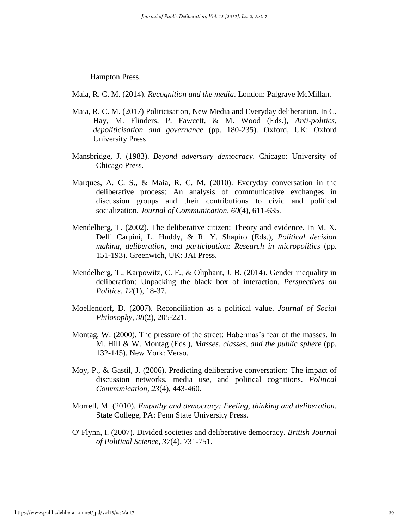Hampton Press.

Maia, R. C. M. (2014). *Recognition and the media*. London: Palgrave McMillan.

- Maia, R. C. M. (2017) Politicisation, New Media and Everyday deliberation. In C. Hay, M. Flinders, P. Fawcett, & M. Wood (Eds.), *Anti-politics, depoliticisation and governance* (pp. 180-235). Oxford, UK: Oxford University Press
- Mansbridge, J. (1983). *Beyond adversary democracy*. Chicago: University of Chicago Press.
- Marques, A. C. S., & Maia, R. C. M. (2010). Everyday conversation in the deliberative process: An analysis of communicative exchanges in discussion groups and their contributions to civic and political socialization. *Journal of Communication, 60*(4), 611-635.
- Mendelberg, T. (2002). The deliberative citizen: Theory and evidence. In M. X. Delli Carpini, L. Huddy, & R. Y. Shapiro (Eds.), *Political decision making, deliberation, and participation: Research in micropolitics* (pp. 151-193). Greenwich, UK: JAI Press.
- Mendelberg, T., Karpowitz, C. F., & Oliphant, J. B. (2014). Gender inequality in deliberation: Unpacking the black box of interaction. *Perspectives on Politics, 12*(1), 18-37.
- Moellendorf, D. (2007). Reconciliation as a political value. *Journal of Social Philosophy, 38*(2), 205-221.
- Montag, W. (2000). The pressure of the street: Habermas's fear of the masses. In M. Hill & W. Montag (Eds.), *Masses, classes, and the public sphere* (pp. 132-145). New York: Verso.
- Moy, P., & Gastil, J. (2006). Predicting deliberative conversation: The impact of discussion networks, media use, and political cognitions. *Political Communication, 23*(4), 443-460.
- Morrell, M. (2010). *Empathy and democracy: Feeling, thinking and deliberation*. State College, PA: Penn State University Press.
- O' Flynn, I. (2007). Divided societies and deliberative democracy. *British Journal of Political Science, 37*(4), 731-751.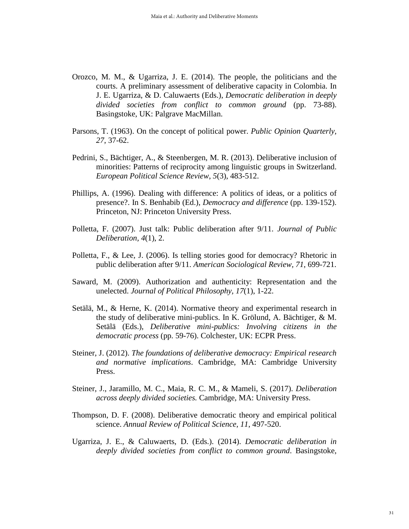- Orozco, M. M., & Ugarriza, J. E. (2014). The people, the politicians and the courts. A preliminary assessment of deliberative capacity in Colombia. In J. E. Ugarriza, & D. Caluwaerts (Eds.), *Democratic deliberation in deeply divided societies from conflict to common ground* (pp. 73-88). Basingstoke, UK: Palgrave MacMillan.
- Parsons, T. (1963). On the concept of political power. *Public Opinion Quarterly, 27*, 37-62.
- Pedrini, S., Bächtiger, A., & Steenbergen, M. R. (2013). Deliberative inclusion of minorities: Patterns of reciprocity among linguistic groups in Switzerland. *European Political Science Review*, *5*(3), 483-512.
- Phillips, A. (1996). Dealing with difference: A politics of ideas, or a politics of presence?. In S. Benhabib (Ed.), *Democracy and difference* (pp. 139-152). Princeton, NJ: Princeton University Press.
- Polletta, F. (2007). Just talk: Public deliberation after 9/11. *Journal of Public Deliberation, 4*(1), 2.
- Polletta, F., & Lee, J. (2006). Is telling stories good for democracy? Rhetoric in public deliberation after 9/11. *American Sociological Review, 71*, 699-721.
- Saward, M. (2009). Authorization and authenticity: Representation and the unelected. *Journal of Political Philosophy, 17*(1), 1-22.
- Setälä, M., & Herne, K. (2014). Normative theory and experimental research in the study of deliberative mini-publics. In K. Grölund, A. Bächtiger, & M. Setälä (Eds.), *Deliberative mini-publics: Involving citizens in the democratic process* (pp. 59-76). Colchester, UK: ECPR Press.
- Steiner, J. (2012). *The foundations of deliberative democracy: Empirical research and normative implications*. Cambridge, MA: Cambridge University Press.
- Steiner, J., Jaramillo, M. C., Maia, R. C. M., & Mameli, S. (2017). *Deliberation across deeply divided societies.* Cambridge, MA: University Press.
- Thompson, D. F. (2008). Deliberative democratic theory and empirical political science. *Annual Review of Political Science, 11*, 497-520.
- Ugarriza, J. E., & Caluwaerts, D. (Eds.). (2014). *Democratic deliberation in deeply divided societies from conflict to common ground*. Basingstoke,